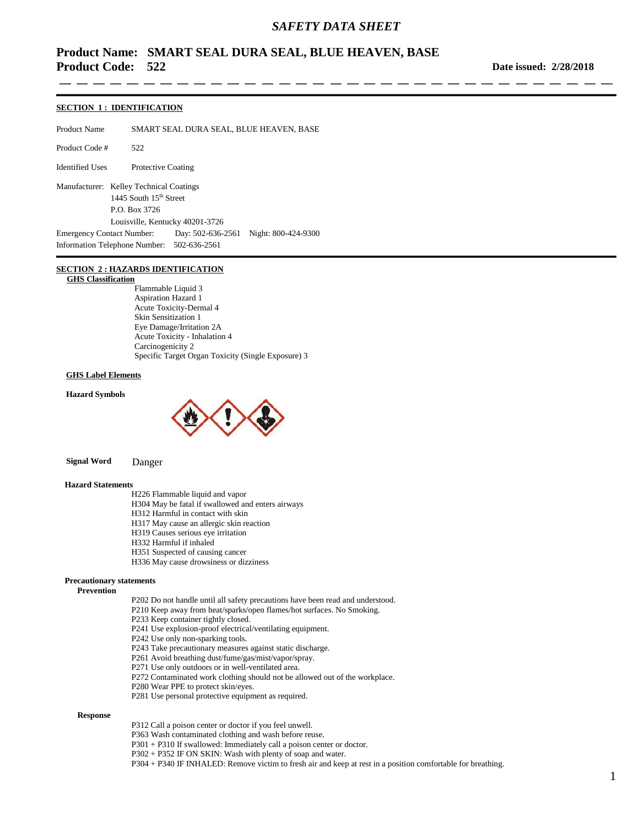-----

# **Product Name: SMART SEAL DURA SEAL, BLUE HEAVEN, BASE Product Code: 522**

**Date issued: 2/28/2018**

#### **SECTION 1 : IDENTIFICATION**

Product Name SMART SEAL DURA SEAL, BLUE HEAVEN, BASE

Product Code # 522

Identified Uses Protective Coating

Manufacturer: Kelley Technical Coatings 1445 South 15<sup>th</sup> Street P.O. Box 3726 Louisville, Kentucky 40201-3726 Emergency Contact Number: Day: 502-636-2561 Night: 800-424-9300 Information Telephone Number: 502-636-2561

#### **SECTION 2 : HAZARDS IDENTIFICATION**

#### **GHS Classification**

Flammable Liquid 3 Aspiration Hazard 1 Acute Toxicity-Dermal 4 Skin Sensitization 1 Eye Damage/Irritation 2A Acute Toxicity - Inhalation 4 Carcinogenicity 2 Specific Target Organ Toxicity (Single Exposure) 3

#### **GHS Label Elements**

**Hazard Symbols**



 **Signal Word** Danger

#### **Hazard Statements**

H226 Flammable liquid and vapor

- H304 May be fatal if swallowed and enters airways
- H312 Harmful in contact with skin
- H317 May cause an allergic skin reaction
- H319 Causes serious eye irritation
- H332 Harmful if inhaled
- H351 Suspected of causing cancer
- H336 May cause drowsiness or dizziness

#### **Precautionary statements**

 **Prevention**

- P202 Do not handle until all safety precautions have been read and understood.
- P210 Keep away from heat/sparks/open flames/hot surfaces. No Smoking.
- P233 Keep container tightly closed.
- P241 Use explosion-proof electrical/ventilating equipment.
- P242 Use only non-sparking tools.
- P243 Take precautionary measures against static discharge.
- P261 Avoid breathing dust/fume/gas/mist/vapor/spray.
- P271 Use only outdoors or in well-ventilated area.
- P272 Contaminated work clothing should not be allowed out of the workplace.
- P280 Wear PPE to protect skin/eyes.
- P281 Use personal protective equipment as required.

#### **Response**

- P312 Call a poison center or doctor if you feel unwell.
- P363 Wash contaminated clothing and wash before reuse.
- P301 + P310 If swallowed: Immediately call a poison center or doctor.
- P302 + P352 IF ON SKIN: Wash with plenty of soap and water.
- P304 + P340 IF INHALED: Remove victim to fresh air and keep at rest in a position comfortable for breathing.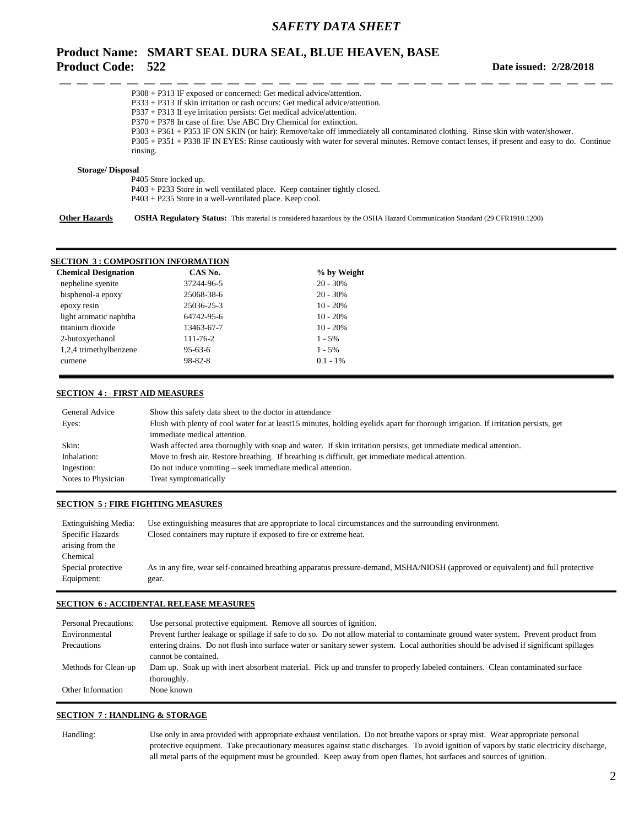# **Product Name: SMART SEAL DURA SEAL, BLUE HEAVEN, BASE Product Code: 522**

|                         | $P308 + P313$ IF exposed or concerned: Get medical advice/attention.                                                                       |
|-------------------------|--------------------------------------------------------------------------------------------------------------------------------------------|
|                         | $P333 + P313$ If skin irritation or rash occurs: Get medical advice/attention.                                                             |
|                         | $P337 + P313$ If eye irritation persists: Get medical advice/attention.                                                                    |
|                         | $P370 + P378$ In case of fire: Use ABC Dry Chemical for extinction.                                                                        |
|                         | P303 + P361 + P353 IF ON SKIN (or hair): Remove/take off immediately all contaminated clothing. Rinse skin with water/shower.              |
|                         | P305 + P351 + P338 IF IN EYES: Rinse cautiously with water for several minutes. Remove contact lenses, if present and easy to do. Continue |
|                         | rinsing.                                                                                                                                   |
| <b>Storage/Disposal</b> |                                                                                                                                            |
|                         | P405 Store locked up.                                                                                                                      |
|                         | $P403 + P233$ Store in well ventilated place. Keep container tightly closed.                                                               |
|                         | $P403 + P235$ Store in a well-ventilated place. Keep cool.                                                                                 |
| <b>Other Hazards</b>    | <b>OSHA Regulatory Status:</b> This material is considered hazardous by the OSHA Hazard Communication Standard (29 CFR1910.1200)           |

| <b>SECTION 3: COMPOSITION INFORMATION</b> |                |             |
|-------------------------------------------|----------------|-------------|
| <b>Chemical Designation</b>               | CAS No.        | % by Weight |
| nepheline syenite                         | 37244-96-5     | $20 - 30%$  |
| bisphenol-a epoxy                         | 25068-38-6     | $20 - 30\%$ |
| epoxy resin                               | 25036-25-3     | $10 - 20%$  |
| light aromatic naphtha                    | 64742-95-6     | $10 - 20%$  |
| titanium dioxide                          | 13463-67-7     | $10 - 20%$  |
| 2-butoxyethanol                           | $111 - 76 - 2$ | $1 - 5\%$   |
| 1,2,4 trimethylbenzene                    | $95-63-6$      | $1 - 5\%$   |
| cumene                                    | $98 - 82 - 8$  | $0.1 - 1\%$ |
|                                           |                |             |

#### **SECTION 4 : FIRST AID MEASURES**

| General Advice     | Show this safety data sheet to the doctor in attendance                                                                            |
|--------------------|------------------------------------------------------------------------------------------------------------------------------------|
| Eyes:              | Flush with plenty of cool water for at least15 minutes, holding eyelids apart for thorough irrigation. If irritation persists, get |
|                    | immediate medical attention.                                                                                                       |
| Skin:              | Wash affected area thoroughly with soap and water. If skin irritation persists, get immediate medical attention.                   |
| Inhalation:        | Move to fresh air. Restore breathing. If breathing is difficult, get immediate medical attention.                                  |
| Ingestion:         | Do not induce vomiting – seek immediate medical attention.                                                                         |
| Notes to Physician | Treat symptomatically                                                                                                              |

## **SECTION 5 : FIRE FIGHTING MEASURES**

| Extinguishing Media: | Use extinguishing measures that are appropriate to local circumstances and the surrounding environment.                          |
|----------------------|----------------------------------------------------------------------------------------------------------------------------------|
| Specific Hazards     | Closed containers may rupture if exposed to fire or extreme heat.                                                                |
| arising from the     |                                                                                                                                  |
| Chemical             |                                                                                                                                  |
| Special protective   | As in any fire, wear self-contained breathing apparatus pressure-demand, MSHA/NIOSH (approved or equivalent) and full protective |
| Equipment:           | gear.                                                                                                                            |
|                      |                                                                                                                                  |

### **SECTION 6 : ACCIDENTAL RELEASE MEASURES**

| <b>Personal Precautions:</b> | Use personal protective equipment. Remove all sources of ignition.                                                                      |
|------------------------------|-----------------------------------------------------------------------------------------------------------------------------------------|
| Environmental                | Prevent further leakage or spillage if safe to do so. Do not allow material to contaminate ground water system. Prevent product from    |
| Precautions                  | entering drains. Do not flush into surface water or sanitary sewer system. Local authorities should be advised if significant spillages |
|                              | cannot be contained.                                                                                                                    |
| Methods for Clean-up         | Dam up. Soak up with inert absorbent material. Pick up and transfer to properly labeled containers. Clean contaminated surface          |
|                              | thoroughly.                                                                                                                             |
| Other Information            | None known                                                                                                                              |

## **SECTION 7 : HANDLING & STORAGE**

Handling: Use only in area provided with appropriate exhaust ventilation. Do not breathe vapors or spray mist. Wear appropriate personal protective equipment. Take precautionary measures against static discharges. To avoid ignition of vapors by static electricity discharge, all metal parts of the equipment must be grounded. Keep away from open flames, hot surfaces and sources of ignition.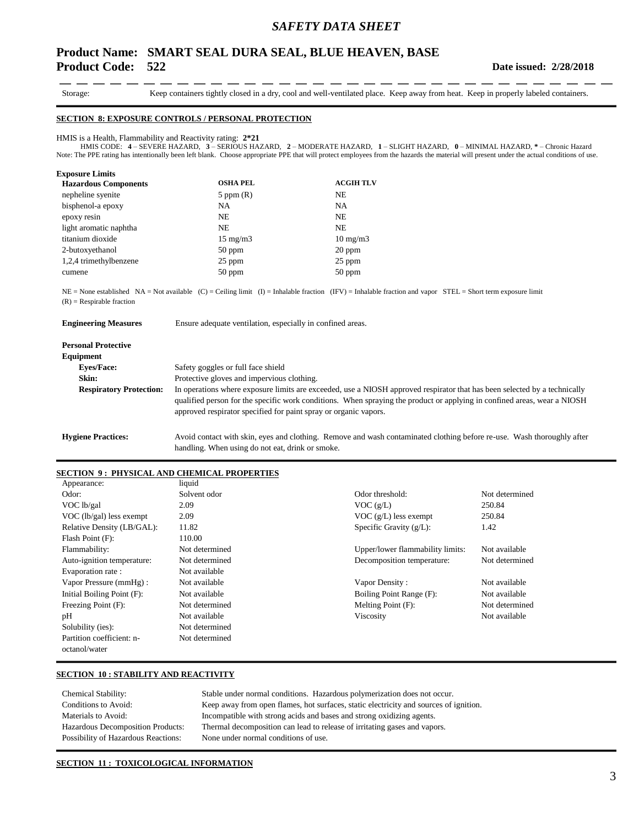# **Product Name: SMART SEAL DURA SEAL, BLUE HEAVEN, BASE Product Code: 522**

 $-$ 

- -- -

Storage: Keep containers tightly closed in a dry, cool and well-ventilated place. Keep away from heat. Keep in properly labeled containers.

- - - - - - - -

#### **SECTION 8: EXPOSURE CONTROLS / PERSONAL PROTECTION**

#### HMIS is a Health, Flammability and Reactivity rating: **2\*21**

HMIS CODE: **4** – SEVERE HAZARD, **3** – SERIOUS HAZARD, **2** – MODERATE HAZARD, **1** – SLIGHT HAZARD, **0** – MINIMAL HAZARD, **\*** – Chronic Hazard Note: The PPE rating has intentionally been left blank. Choose appropriate PPE that will protect employees from the hazards the material will present under the actual conditions of use.

| <b>Exposure Limits</b>      |                   |                   |
|-----------------------------|-------------------|-------------------|
| <b>Hazardous Components</b> | <b>OSHA PEL</b>   | <b>ACGIH TLV</b>  |
| nepheline syenite           | $5$ ppm $(R)$     | NE                |
| bisphenol-a epoxy           | NA                | NA                |
| epoxy resin                 | NE.               | <b>NE</b>         |
| light aromatic naphtha      | NE.               | <b>NE</b>         |
| titanium dioxide            | $15 \text{ mg/m}$ | $10 \text{ mg/m}$ |
| 2-butoxyethanol             | $50$ ppm          | $20$ ppm          |
| 1,2,4 trimethylbenzene      | $25$ ppm          | 25 ppm            |
| cumene                      | $50$ ppm          | $50$ ppm          |

NE = None established NA = Not available (C) = Ceiling limit (I) = Inhalable fraction (IFV) = Inhalable fraction and vapor STEL = Short term exposure limit  $(R)$  = Respirable fraction

| <b>Engineering Measures</b>    | Ensure adequate ventilation, especially in confined areas.                                                                                                                                                                                                                                                                |  |  |  |
|--------------------------------|---------------------------------------------------------------------------------------------------------------------------------------------------------------------------------------------------------------------------------------------------------------------------------------------------------------------------|--|--|--|
| <b>Personal Protective</b>     |                                                                                                                                                                                                                                                                                                                           |  |  |  |
| Equipment                      |                                                                                                                                                                                                                                                                                                                           |  |  |  |
| <b>Eves/Face:</b>              | Safety goggles or full face shield                                                                                                                                                                                                                                                                                        |  |  |  |
| Skin:                          | Protective gloves and impervious clothing.                                                                                                                                                                                                                                                                                |  |  |  |
| <b>Respiratory Protection:</b> | In operations where exposure limits are exceeded, use a NIOSH approved respirator that has been selected by a technically<br>qualified person for the specific work conditions. When spraying the product or applying in confined areas, wear a NIOSH<br>approved respirator specified for paint spray or organic vapors. |  |  |  |
| <b>Hygiene Practices:</b>      | Avoid contact with skin, eyes and clothing. Remove and wash contaminated clothing before re-use. Wash thoroughly after<br>handling. When using do not eat, drink or smoke.                                                                                                                                                |  |  |  |

### **SECTION 9 : PHYSICAL AND CHEMICAL PROPERTIES**

| Appearance:                | liquid         |                                  |                |
|----------------------------|----------------|----------------------------------|----------------|
| Odor:                      | Solvent odor   | Odor threshold:                  | Not determined |
| VOC lb/gal                 | 2.09           | VOC(g/L)                         | 250.84         |
| $VOC$ (lb/gal) less exempt | 2.09           | $VOC$ (g/L) less exempt          | 250.84         |
| Relative Density (LB/GAL): | 11.82          | Specific Gravity $(g/L)$ :       | 1.42           |
| Flash Point (F):           | 110.00         |                                  |                |
| Flammability:              | Not determined | Upper/lower flammability limits: | Not available  |
| Auto-ignition temperature: | Not determined | Decomposition temperature:       | Not determined |
| Evaporation rate:          | Not available  |                                  |                |
| Vapor Pressure (mmHg):     | Not available  | Vapor Density:                   | Not available  |
| Initial Boiling Point (F): | Not available  | Boiling Point Range (F):         | Not available  |
| Freezing Point (F):        | Not determined | Melting Point (F):               | Not determined |
| pH                         | Not available  | Viscosity                        | Not available  |
| Solubility (ies):          | Not determined |                                  |                |
| Partition coefficient: n-  | Not determined |                                  |                |
| octanol/water              |                |                                  |                |

## **SECTION 10 : STABILITY AND REACTIVITY**

| Chemical Stability:                        | Stable under normal conditions. Hazardous polymerization does not occur.              |
|--------------------------------------------|---------------------------------------------------------------------------------------|
| Conditions to Avoid:                       | Keep away from open flames, hot surfaces, static electricity and sources of ignition. |
| Materials to Avoid:                        | Incompatible with strong acids and bases and strong oxidizing agents.                 |
| Hazardous Decomposition Products:          | Thermal decomposition can lead to release of irritating gases and vapors.             |
| <b>Possibility of Hazardous Reactions:</b> | None under normal conditions of use.                                                  |

### **SECTION 11 : TOXICOLOGICAL INFORMATION**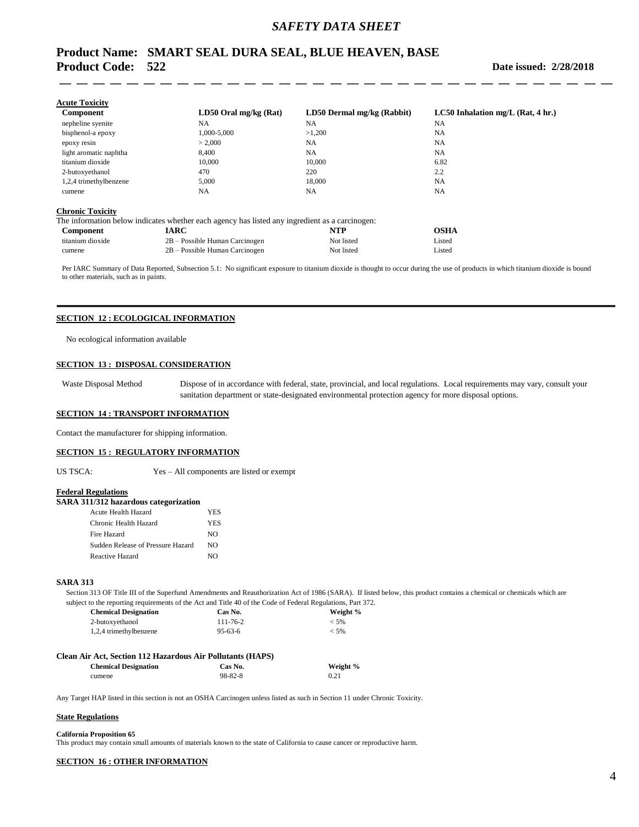# **Product Name: SMART SEAL DURA SEAL, BLUE HEAVEN, BASE Product Code: 522**

#### **Date issued: 2/28/2018**

| Component              | $LD50$ Oral mg/kg (Rat) | LD50 Dermal mg/kg (Rabbit) | $LC50$ Inhalation mg/L (Rat, 4 hr.) |
|------------------------|-------------------------|----------------------------|-------------------------------------|
| nepheline syenite      | <b>NA</b>               | <b>NA</b>                  | <b>NA</b>                           |
| bisphenol-a epoxy      | 1,000-5,000             | >1,200                     | NA                                  |
| epoxy resin            | > 2.000                 | <b>NA</b>                  | NA                                  |
| light aromatic naphtha | 8.400                   | <b>NA</b>                  | NA                                  |
| titanium dioxide       | 10,000                  | 10,000                     | 6.82                                |
| 2-butoxyethanol        | 470                     | 220                        | 2.2                                 |
| 1,2,4 trimethylbenzene | 5,000                   | 18,000                     | NA                                  |
| cumene                 | NA                      | <b>NA</b>                  | NA                                  |

|                  | The information below indicates whether each agency has listed any ingredient as a carcinogen: |            |        |
|------------------|------------------------------------------------------------------------------------------------|------------|--------|
| Component        | <b>IARC</b>                                                                                    | NTP        | OSHA   |
| titanium dioxide | 2B – Possible Human Carcinogen                                                                 | Not listed | Listed |

cumene 2B – Possible Human Carcinogen Not listed Listed

Per IARC Summary of Data Reported, Subsection 5.1: No significant exposure to titanium dioxide is thought to occur during the use of products in which titanium dioxide is bound to other materials, such as in paints.

### **SECTION 12 : ECOLOGICAL INFORMATION**

No ecological information available

#### **SECTION 13 : DISPOSAL CONSIDERATION**

Waste Disposal Method Dispose of in accordance with federal, state, provincial, and local regulations. Local requirements may vary, consult your sanitation department or state-designated environmental protection agency for more disposal options.

### **SECTION 14 : TRANSPORT INFORMATION**

Contact the manufacturer for shipping information.

#### **SECTION 15 : REGULATORY INFORMATION**

US TSCA: Yes – All components are listed or exempt

#### **Federal Regulations**

|  |  |  |  |  | SARA 311/312 hazardous categorization |  |
|--|--|--|--|--|---------------------------------------|--|
|--|--|--|--|--|---------------------------------------|--|

| Acute Health Hazard               | <b>YES</b> |
|-----------------------------------|------------|
| Chronic Health Hazard             | <b>YES</b> |
| Fire Hazard                       | NΩ         |
| Sudden Release of Pressure Hazard | NΩ         |
| Reactive Hazard                   | N()        |

#### **SARA 313**

Section 313 OF Title III of the Superfund Amendments and Reauthorization Act of 1986 (SARA). If listed below, this product contains a chemical or chemicals which are subject to the reporting requirements of the Act and Title 40 of the Code of Federal Regulations, Part 372.

| <b>Chemical Designation</b> | Cas No.        | Weight % |
|-----------------------------|----------------|----------|
| 2-butoxyethanol             | $111 - 76 - 2$ | $<$ 5%   |
| 1,2,4 trimethylbenzene      | $95 - 63 - 6$  | $<$ 5%   |

| <b>Chemical Designation</b> | Cas No.       | Weight % |
|-----------------------------|---------------|----------|
| cumene                      | $98 - 82 - 8$ | 0.21     |

Any Target HAP listed in this section is not an OSHA Carcinogen unless listed as such in Section 11 under Chronic Toxicity.

#### **State Regulations**

#### **California Proposition 65**

This product may contain small amounts of materials known to the state of California to cause cancer or reproductive harm.

#### **SECTION 16 : OTHER INFORMATION**